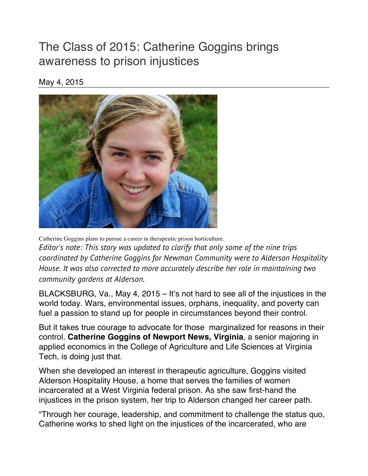## The Class of 2015: Catherine Goggins brings awareness to prison injustices

## May 4, 2015



Catherine Goggins plans to pursue a career in therapeutic prison horticulture. *Editor's note: This story was updated to clarify that only some of the nine trips coordinated by Catherine Goggins for Newman Community were to Alderson Hospitality House. It was also corrected to more accurately describe her role in maintaining two community gardens at Alderson.*

BLACKSBURG, Va., May 4, 2015 – It's not hard to see all of the injustices in the world today. Wars, environmental issues, orphans, inequality, and poverty can fuel a passion to stand up for people in circumstances beyond their control.

But it takes true courage to advocate for those marginalized for reasons in their control. **Catherine Goggins of Newport News, Virginia**, a senior majoring in applied economics in the College of Agriculture and Life Sciences at Virginia Tech, is doing just that.

When she developed an interest in therapeutic agriculture, Goggins visited Alderson Hospitality House, a home that serves the families of women incarcerated at a West Virginia federal prison. As she saw first-hand the injustices in the prison system, her trip to Alderson changed her career path.

"Through her courage, leadership, and commitment to challenge the status quo, Catherine works to shed light on the injustices of the incarcerated, who are